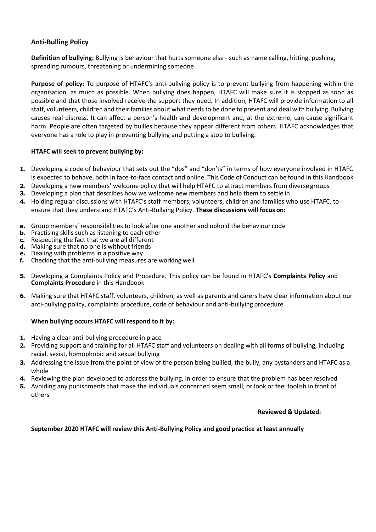# **Anti-Bulling Policy**

**Definition of bullying:** Bullying is behaviour that hurts someone else - such as name calling, hitting, pushing, spreading rumours, threatening or undermining someone.

**Purpose of policy:** To purpose of HTAFC's anti-bullying policy is to prevent bullying from happening within the organisation, as much as possible. When bullying does happen, HTAFC will make sure it is stopped as soon as possible and that those involved receive the support they need. In addition, HTAFC will provide information to all staff, volunteers, children and their families about what needs to be done to prevent and deal with bullying. Bullying causes real distress. It can affect a person's health and development and, at the extreme, can cause significant harm. People are often targeted by bullies because they appear different from others. HTAFC acknowledges that everyone has a role to play in preventing bullying and putting a stop to bullying.

## **HTAFC will seek to prevent bullying by:**

- **1.** Developing a code of behaviour that sets out the "dos" and "don'ts" in terms of how everyone involved in HTAFC is expected to behave, both in face-to-face contact and online. This Code of Conduct can be found in this Handbook
- **2.** Developing a new members' welcome policy that will help HTAFC to attract members from diverse groups
- **3.** Developing a plan that describes how we welcome new members and help them to settle in
- **4.** Holding regular discussions with HTAFC's staff members, volunteers, children and families who use HTAFC, to ensure that they understand HTAFC's Anti-Bullying Policy. **These discussions will focus on:**
- **a.** Group members' responsibilities to look after one another and uphold the behaviour code
- **b.** Practising skills such as listening to each other
- **c.** Respecting the fact that we are all different
- **d.** Making sure that no one is without friends
- **e.** Dealing with problems in a positive way
- **f.** Checking that the anti-bullying measures are working well
- **5.** Developing a Complaints Policy and Procedure. This policy can be found in HTAFC's **Complaints Policy** and **Complaints Procedure** in this Handbook
- **6.** Making sure that HTAFC staff, volunteers, children, as well as parents and carers have clear information about our anti-bullying policy, complaints procedure, code of behaviour and anti-bullying procedure

#### **When bullying occurs HTAFC will respond to it by:**

- **1.** Having a clear anti-bullying procedure in place
- **2.** Providing support and training for all HTAFC staff and volunteers on dealing with all forms of bullying, including racial, sexist, homophobic and sexual bullying
- **3.** Addressing the issue from the point of view of the person being bullied, the bully, any bystanders and HTAFC as a whole
- **4.** Reviewing the plan developed to address the bullying, in order to ensure that the problem has beenresolved
- **5.** Avoiding any punishments that make the individuals concerned seem small, or look or feel foolish in front of others

#### **Reviewed & Updated:**

## **September 2020 HTAFC will review this Anti-Bullying Policy and good practice at least annually**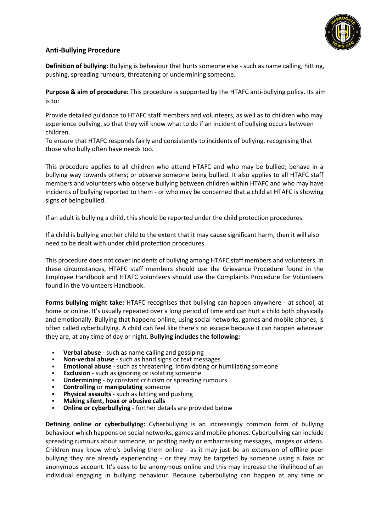

# **Anti-Bullying Procedure**

**Definition of bullying:** Bullying is behaviour that hurts someone else - such as name calling, hitting, pushing, spreading rumours, threatening or undermining someone.

**Purpose & aim of procedure:** This procedure is supported by the HTAFC anti-bullying policy. Its aim is to:

Provide detailed guidance to HTAFC staff members and volunteers, as well as to children who may experience bullying, so that they will know what to do if an incident of bullying occurs between children.

To ensure that HTAFC responds fairly and consistently to incidents of bullying, recognising that those who bully often have needs too.

This procedure applies to all children who attend HTAFC and who may be bullied; behave in a bullying way towards others; or observe someone being bullied. It also applies to all HTAFC staff members and volunteers who observe bullying between children within HTAFC and who may have incidents of bullying reported to them - or who may be concerned that a child at HTAFC is showing signs of being bullied.

If an adult is bullying a child, this should be reported under the child protection procedures.

If a child is bullying another child to the extent that it may cause significant harm, then it will also need to be dealt with under child protection procedures.

This procedure does not cover incidents of bullying among HTAFC staff members and volunteers. In these circumstances, HTAFC staff members should use the Grievance Procedure found in the Employee Handbook and HTAFC volunteers should use the Complaints Procedure for Volunteers found in the Volunteers Handbook.

**Forms bullying might take:** HTAFC recognises that bullying can happen anywhere - at school, at home or online. It's usually repeated over a long period of time and can hurt a child both physically and emotionally. Bullying that happens online, using social networks, games and mobile phones, is often called cyberbullying. A child can feel like there's no escape because it can happen wherever they are, at any time of day or night. **Bullying includes the following:**

- **Verbal abuse** such as name calling and gossiping
- **Non-verbal abuse** such as hand signs or text messages
- **Emotional abuse** such as threatening, intimidating or humiliating someone
- **Exclusion** such as ignoring or isolating someone
- **Undermining by constant criticism or spreading rumours**
- **Controlling or manipulating** someone
- **Physical assaults** such as hitting and pushing
- **Making silent, hoax or abusive calls**
- **Online or cyberbullying** further details are provided below

**Defining online or cyberbullying:** Cyberbullying is an increasingly common form of bullying behaviour which happens on social networks, games and mobile phones. Cyberbullying can include spreading rumours about someone, or posting nasty or embarrassing messages, images or videos. Children may know who's bullying them online - as it may just be an extension of offline peer bullying they are already experiencing - or they may be targeted by someone using a fake or anonymous account. It's easy to be anonymous online and this may increase the likelihood of an individual engaging in bullying behaviour. Because cyberbullying can happen at any time or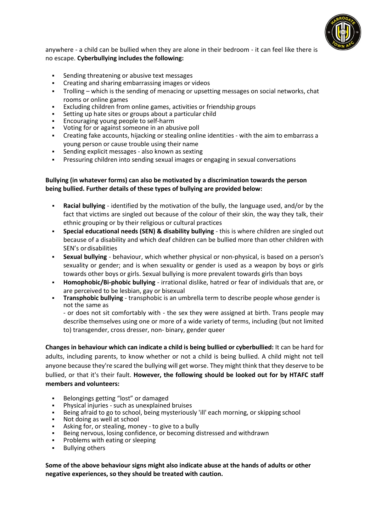

anywhere - a child can be bullied when they are alone in their bedroom - it can feel like there is no escape. **Cyberbullying includes the following:**

- Sending threatening or abusive text messages
- Creating and sharing embarrassing images or videos
- Trolling which is the sending of menacing or upsetting messages on social networks, chat rooms or online games
- Excluding children from online games, activities or friendship groups
- Setting up hate sites or groups about a particular child
- Encouraging young people to self-harm
- Voting for or against someone in an abusive poll
- Creating fake accounts, hijacking or stealing online identities with the aim to embarrass a young person or cause trouble using their name
- Sending explicit messages also known as sexting
- Pressuring children into sending sexual images or engaging in sexual conversations

#### **Bullying (in whatever forms) can also be motivated by a discrimination towards the person being bullied. Further details of these types of bullying are provided below:**

- **Racial bullying** identified by the motivation of the bully, the language used, and/or by the fact that victims are singled out because of the colour of their skin, the way they talk, their ethnic grouping or by their religious or cultural practices
- **Special educational needs (SEN) & disability bullying this is where children are singled out** because of a disability and which deaf children can be bullied more than other children with SEN's ordisabilities
- **Sexual bullying** behaviour, which whether physical or non-physical, is based on a person's sexuality or gender; and is when sexuality or gender is used as a weapon by boys or girls towards other boys or girls. Sexual bullying is more prevalent towards girls than boys
- **Homophobic/Bi-phobic bullying**  irrational dislike, hatred or fear of individuals that are, or are perceived to be lesbian, gay or bisexual
- **Transphobic bullying** transphobic is an umbrella term to describe people whose gender is not the same as

- or does not sit comfortably with - the sex they were assigned at birth. Trans people may describe themselves using one or more of a wide variety of terms, including (but not limited to) transgender, cross dresser, non- binary, gender queer

**Changes in behaviour which can indicate a child is being bullied or cyberbullied:** It can be hard for adults, including parents, to know whether or not a child is being bullied. A child might not tell anyone because they're scared the bullying will get worse. They might think that they deserve to be bullied, or that it's their fault. **However, the following should be looked out for by HTAFC staff members and volunteers:**

- Belongings getting "lost" or damaged
- Physical injuries such as unexplained bruises
- Being afraid to go to school, being mysteriously 'ill' each morning, or skipping school
- Not doing as well at school
- Asking for, or stealing, money to give to a bully
- Being nervous, losing confidence, or becoming distressed and withdrawn
- Problems with eating or sleeping
- **Bullying others**

**Some of the above behaviour signs might also indicate abuse at the hands of adults or other negative experiences, so they should be treated with caution.**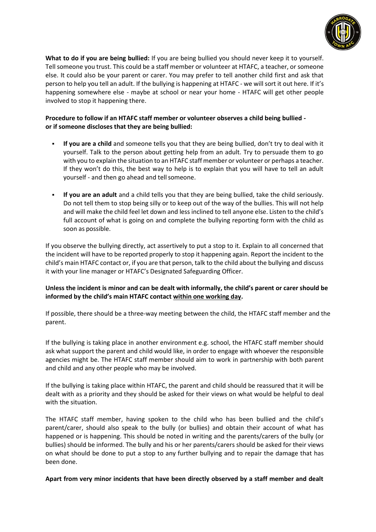

**What to do if you are being bullied:** If you are being bullied you should never keep it to yourself. Tell someone you trust. This could be a staff member or volunteer at HTAFC, a teacher, or someone else. It could also be your parent or carer. You may prefer to tell another child first and ask that person to help you tell an adult. If the bullying is happening at HTAFC - we will sort it out here. If it's happening somewhere else - maybe at school or near your home - HTAFC will get other people involved to stop it happening there.

# **Procedure to follow if an HTAFC staff member or volunteer observes a child being bullied or if someone discloses that they are being bullied:**

- If you are a child and someone tells you that they are being bullied, don't try to deal with it yourself. Talk to the person about getting help from an adult. Try to persuade them to go with you to explain the situation to an HTAFC staff member or volunteer or perhaps a teacher. If they won't do this, the best way to help is to explain that you will have to tell an adult yourself - and then go ahead and tellsomeone.
- **If you are an adult** and a child tells you that they are being bullied, take the child seriously. Do not tell them to stop being silly or to keep out of the way of the bullies. This will not help and will make the child feel let down and less inclined to tell anyone else. Listen to the child's full account of what is going on and complete the bullying reporting form with the child as soon as possible.

If you observe the bullying directly, act assertively to put a stop to it. Explain to all concerned that the incident will have to be reported properly to stop it happening again. Report the incident to the child's main HTAFC contact or, if you are that person, talk to the child about the bullying and discuss it with your line manager or HTAFC's Designated Safeguarding Officer.

# **Unless the incident is minor and can be dealt with informally, the child's parent or carer should be informed by the child's main HTAFC contact within one working day.**

If possible, there should be a three-way meeting between the child, the HTAFC staff member and the parent.

If the bullying is taking place in another environment e.g. school, the HTAFC staff member should ask what support the parent and child would like, in order to engage with whoever the responsible agencies might be. The HTAFC staff member should aim to work in partnership with both parent and child and any other people who may be involved.

If the bullying is taking place within HTAFC, the parent and child should be reassured that it will be dealt with as a priority and they should be asked for their views on what would be helpful to deal with the situation.

The HTAFC staff member, having spoken to the child who has been bullied and the child's parent/carer, should also speak to the bully (or bullies) and obtain their account of what has happened or is happening. This should be noted in writing and the parents/carers of the bully (or bullies) should be informed. The bully and his or her parents/carers should be asked for their views on what should be done to put a stop to any further bullying and to repair the damage that has been done.

## **Apart from very minor incidents that have been directly observed by a staff member and dealt**